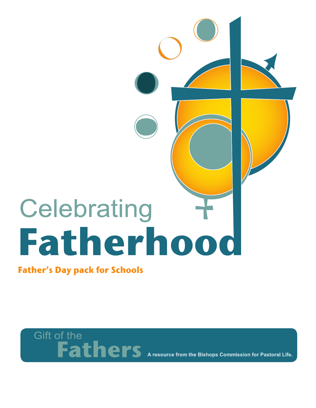## Celebrating Fatherhood

**Father's Day pack for Schools** 

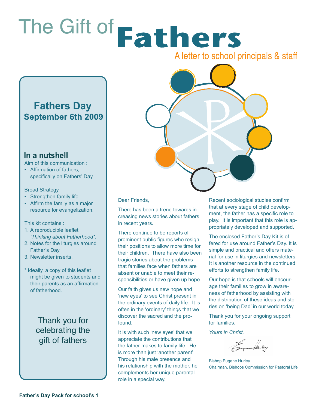# The Gift of Fathers

A letter to school principals & staff

#### **Fathers Day September 6th 2009**

#### In a nutshell

Aim of this communication :

• Affirmation of fathers, specifically on Fathers' Day

#### Broad Strategy

- Strengthen family life
- Affirm the family as a major resource for evangelization.

#### This kit contains :

- 1. A reproducible leaflet *'Thinking about Fatherhood\*.*
- 2. Notes for the liturgies around Father's Day.
- 3. Newsletter inserts.
- \* Ideally, a copy of this leaflet might be given to students and their parents as an affirmation of fatherhood.

Thank you for celebrating the gift of fathers



Dear Friends,

There has been a trend towards increasing news stories about fathers in recent years.

There continue to be reports of prominent public figures who resign their positions to allow more time for their children. There have also been tragic stories about the problems that families face when fathers are absent or unable to meet their responsibilities or have given up hope.

Our faith gives us new hope and 'new eyes' to see Christ present in the ordinary events of daily life. It is often in the 'ordinary' things that we discover the sacred and the profound.

It is with such 'new eyes' that we appreciate the contributions that the father makes to family life. He is more than just 'another parent'. Through his male presence and his relationship with the mother, he complements her unique parental role in a special way.

Recent sociological studies confirm that at every stage of child development, the father has a specific role to play. It is important that this role is appropriately developed and supported.

The enclosed Father's Day Kit is offered for use around Father's Day. It is simple and practical and offers material for use in liturgies and newsletters. It is another resource in the continued efforts to strengthen family life.

Our hope is that schools will encourage their families to grow in awareness of fatherhood by assisting with the distribution of these ideas and stories on 'being Dad' in our world today.

Thank you for your ongoing support for families.

*Yours in Christ,*

+6 gene tunley

Bishop Eugene Hurley Chairman, Bishops Commission for Pastoral Life